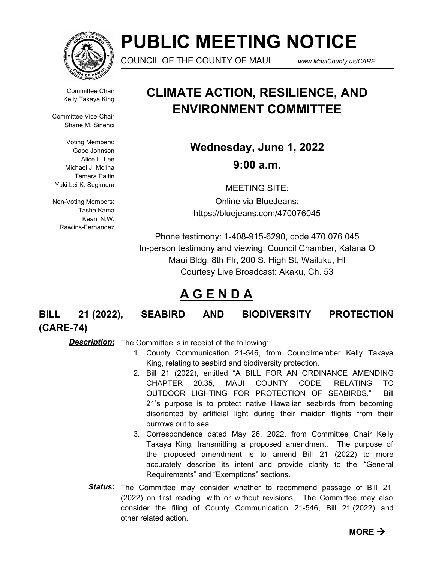

# **PUBLIC MEETING NOTICE**

COUNCIL OF THE COUNTY OF MAUI *www.MauiCounty.us/CARE*

Committee Chair Kelly Takaya King

Committee Vice-Chair Shane M. Sinenci

Voting Members: Gabe Johnson Alice L. Lee Michael J. Molina Tamara Paltin Yuki Lei K. Sugimura

Non-Voting Members: Tasha Kama Keani N.W. Rawlins-Fernandez

## **CLIMATE ACTION, RESILIENCE, AND ENVIRONMENT COMMITTEE**

**Wednesday, June 1, 2022 9:00 a.m.**

MEETING SITE: Online via BlueJeans: https://bluejeans.com/470076045

Phone testimony: 1-408-915-6290, code 470 076 045 In-person testimony and viewing: Council Chamber, Kalana O Maui Bldg, 8th Flr, 200 S. High St, Wailuku, HI Courtesy Live Broadcast: Akaku, Ch. 53

### **A G E N D A**

**BILL 21 (2022), SEABIRD AND BIODIVERSITY PROTECTION (CARE-74)**

**Description:** The Committee is in receipt of the following:

- 1. County Communication 21-546, from Councilmember Kelly Takaya King, relating to seabird and biodiversity protection.
- 2. Bill 21 (2022), entitled "A BILL FOR AN ORDINANCE AMENDING CHAPTER 20.35, MAUI COUNTY CODE, RELATING TO OUTDOOR LIGHTING FOR PROTECTION OF SEABIRDS." Bill 21's purpose is to protect native Hawaiian seabirds from becoming disoriented by artificial light during their maiden flights from their burrows out to sea.
- 3. Correspondence dated May 26, 2022, from Committee Chair Kelly Takaya King, transmitting a proposed amendment. The purpose of the proposed amendment is to amend Bill 21 (2022) to more accurately describe its intent and provide clarity to the "General Requirements" and "Exemptions" sections.
- Status: The Committee may consider whether to recommend passage of Bill 21 (2022) on first reading, with or without revisions. The Committee may also consider the filing of County Communication 21-546, Bill 21 (2022) and other related action.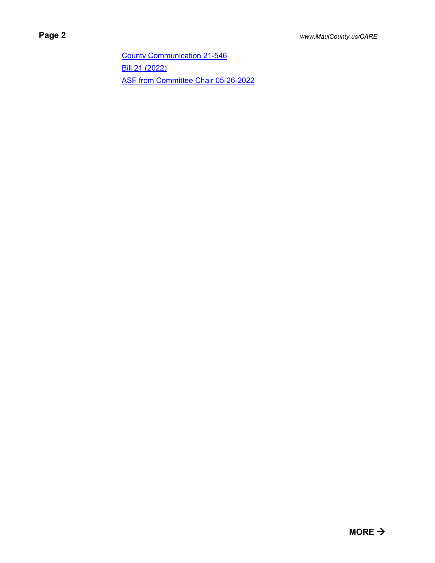[County Communication 21-546](http://mauicounty.legistar.com/gateway.aspx?M=F&ID=417dd079-6096-4768-b114-d57b44d0c838.pdf) [Bill 21 \(2022\)](http://mauicounty.legistar.com/gateway.aspx?M=F&ID=5d9bb66f-9f45-4177-b85e-9f3b7abd3dc0.pdf) [ASF from Committee Chair 05-26-2022](http://mauicounty.legistar.com/gateway.aspx?M=F&ID=8f25f3ec-71b8-46e0-8d68-d526783c2b16.pdf)